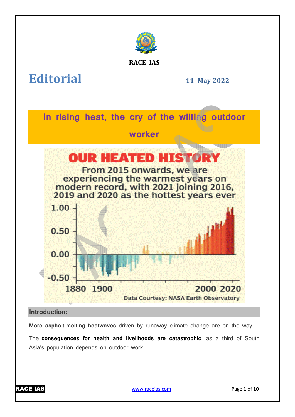

**RACE IAS**

**Editorial**

**11 May 2022**



**More asphalt-melting heatwaves** driven by runaway climate change are on the way.

The **consequences for health and livelihoods are catastrophic** , as a third of South Asia's population depends on outdoor work.



www.raceias.com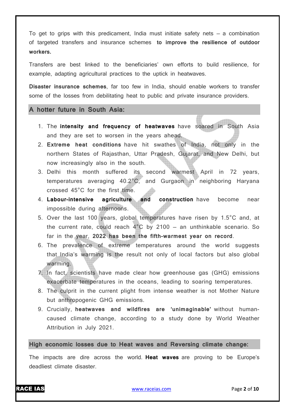To get to grips with this predicament, India must initiate safety nets  $-$  a combination of targeted transfers and insurance schemes **to improve the resilience of outdoor workers.**

Transfers are best linked to the beneficiaries' own efforts to build resilience, for example, adapting agricultural practices to the uptick in heatwaves.

**Disaster insurance schemes**, far too few in India, should enable workers to transfer some of the losses from debilitating heat to public and private insurance providers.

## **A hotter future in South Asia:**

- 1. The **intensity and frequency of heatwaves** have soared in South Asia and they are set to worsen in the years ahead.
- 2. **Extreme heat conditions** have hit swathes of India, not only in the northern States of Rajasthan, Uttar Pradesh, Gujarat, and New Delhi, but now increasingly also in the south.
- 3. Delhi this month suffered its second warmest April in 72 years, temperatures averaging 40.2°C, and Gurgaon in neighboring Haryana crossed 45°C for the first time.
- 4. **Labour-intensive agriculture and construction** have become near impossible during afternoons.
- 5. Over the last 100 years, global temperatures have risen by 1.5°C and, at the current rate, could reach  $4^{\circ}$ C by 2100 – an unthinkable scenario. So far in the year, **2022 has been the fifth-warmest year on record**.
- 6. The prevalence of extreme temperatures around the world suggests that India's warming is the result not only of local factors but also global warming.
- 7. In fact, scientists have made clear how greenhouse gas (GHG) emissions exacerbate temperatures in the oceans, leading to soaring temperatures.
- 8. The culprit in the current plight from intense weather is not Mother Nature but anthropogenic GHG emissions.
- 9. Crucially, **heatwaves and wildfires are 'unimaginable'** without humancaused climate change, according to a study done by World Weather Attribution in July 2021.

## **High economic losses due to Heat waves and Reversing climate change:**

The impacts are dire across the world. **Heat waves** are proving to be Europe's deadliest climate disaster.

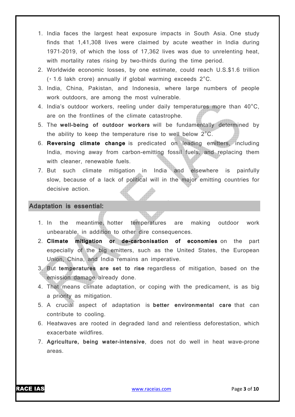- 1. India faces the largest heat exposure impacts in South Asia. One study finds that 1,41,308 lives were claimed by acute weather in India during 1971-2019, of which the loss of 17,362 lives was due to unrelenting heat, with mortality rates rising by two-thirds during the time period.
- 2. Worldwide economic losses, by one estimate, could reach U.S.\$1.6 trillion (₹ 1.6 lakh crore) annually if global warming exceeds 2°C.
- 3. India, China, Pakistan, and Indonesia, where large numbers of people work outdoors, are among the most vulnerable.
- 4. India's outdoor workers, reeling under daily temperatures more than 40°C, are on the frontlines of the climate catastrophe.
- 5. The **well-being of outdoor workers** will be fundamentally determined by the ability to keep the temperature rise to well below 2°C.
- 6. **Reversing climate change** is predicated on leading emitters, including India, moving away from carbon-emitting fossil fuels, and replacing them with cleaner, renewable fuels.
- 7. But such climate mitigation in India and elsewhere is painfully slow, because of a lack of political will in the major emitting countries for decisive action.

## **Adaptation is essential:**

- 1. In the meantime, hotter temperatures are making outdoor work unbearable, in addition to other dire consequences.
- 2. **Climate mitigation or de-carbonisation of economies** on the part especially of the big emitters, such as the United States, the European Union, China, and India remains an imperative.
- 3. But **temperatures are set to rise** regardless of mitigation, based on the emission damage already done.
- 4. That means climate adaptation, or coping with the predicament, is as big a priority as mitigation.
- 5. A crucial aspect of adaptation is **better environmental care** that can contribute to cooling.
- 6. Heatwaves are rooted in degraded land and relentless deforestation, which exacerbate wildfires.
- 7. **Agriculture, being water-intensive**, does not do well in heat wave-prone areas.

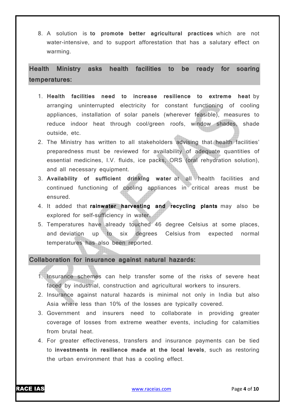8. A solution is **to promote better agricultural practices** which are not water-intensive, and to support afforestation that has a salutary effect on warming.

**Health Ministry asks health facilities to be ready for soaring temperatures:**

- 1. **Health facilities need to increase resilience to extreme heat** by arranging uninterrupted electricity for constant functioning of cooling appliances, installation of solar panels (wherever feasible), measures to reduce indoor heat through cool/green roofs, window shades, shade outside, etc.
- 2. The Ministry has written to all stakeholders advising that health facilities' preparedness must be reviewed for availability of adequate quantities of essential medicines, I.V. fluids, ice packs, ORS (oral rehydration solution), and all necessary equipment.
- 3. **Availability of sufficient drinking water** at all health facilities and continued functioning of cooling appliances in critical areas must be ensured.
- 4. It added that **rainwater harvesting and recycling plants** may also be explored for self-sufficiency in water.
- 5. Temperatures have already touched 46 degree Celsius at some places, and deviation up to six degrees Celsius from expected normal temperatures has also been reported.

**Collaboration for insurance against natural hazards:**

- 1. Insurance schemes can help transfer some of the risks of severe heat faced by industrial, construction and agricultural workers to insurers.
- 2. Insurance against natural hazards is minimal not only in India but also Asia where less than 10% of the losses are typically covered.
- 3. Government and insurers need to collaborate in providing greater coverage of losses from extreme weather events, including for calamities from brutal heat.
- 4. For greater effectiveness, transfers and insurance payments can be tied to **investments in resilience made at the local levels**, such as restoring the urban environment that has a cooling effect.

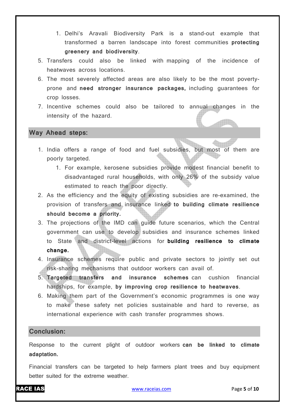- 1. Delhi's Aravali Biodiversity Park is a stand-out example that transformed a barren landscape into forest communities **protecting greenery and biodiversity**.
- 5. Transfers could also be linked with mapping of the incidence of heatwaves across locations.
- 6. The most severely affected areas are also likely to be the most povertyprone and **need stronger insurance packages,** including guarantees for crop losses.
- 7. Incentive schemes could also be tailored to annual changes in the intensity of the hazard.

## **Way Ahead steps:**

- **Time** 1. India offers a range of food and fuel subsidies, but most of them are poorly targeted.
	- 1. For example, kerosene subsidies provide modest financial benefit to disadvantaged rural households, with only 26% of the subsidy value estimated to reach the poor directly.
- 2. As the efficiency and the equity of existing subsidies are re-examined, the provision of transfers and insurance linked **to building climate resilience should become a priority.**
- 3. The projections of the IMD can guide future scenarios, which the Central government can use to develop subsidies and insurance schemes linked to State and district-level actions for **building resilience to climate change.**
- 4. Insurance schemes require public and private sectors to jointly set out risk-sharing mechanisms that outdoor workers can avail of.
- 5. **Targeted transfers and insurance schemes** can cushion financial hardships, for example, **by improving crop resilience to heatwaves**.
- 6. Making them part of the Government's economic programmes is one way to make these safety net policies sustainable and hard to reverse, as international experience with cash transfer programmes shows.

## **Conclusion:**

Response to the current plight of outdoor workers **can be linked to climate adaptation.**

Financial transfers can be targeted to help farmers plant trees and buy equipment better suited for the extreme weather.

RACE IAS www.raceias.com Page **5** of **10**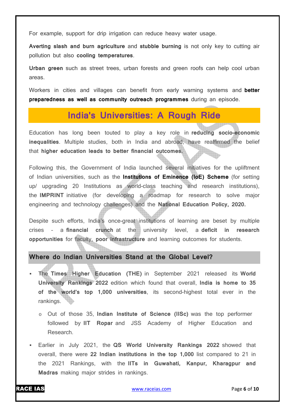For example, support for drip irrigation can reduce heavy water usage.

**Averting slash and burn agriculture** and **stubble burning** is not only key to cutting air pollution but also **cooling temperatures**.

**Urban green** such as street trees, urban forests and green roofs can help cool urban areas.

Workers in cities and villages can benefit from early warning systems and **better preparedness as well as community outreach programmes** during an episode.

# **India's Universities: A Rough Ride**

Education has long been touted to play a key role in **reducing socio-economic inequalities**. Multiple studies, both in India and abroad, have reaffirmed the belief that **higher education leads to better financial outcomes.**

Following this, the Government of India launched several initiatives for the upliftment of Indian universities, such as the **Institutions of Eminence (IoE) Scheme** (for setting up/ upgrading 20 Institutions as world-class teaching and research institutions), the **IMPRINT** initiative (for developing a roadmap for research to solve major engineering and technology challenges) and the **National Education Policy, 2020.**

Despite such efforts, India's once-great institutions of learning are beset by multiple crises – a **financial crunch** at the university level, a **deficit in research opportunities** for faculty, **poor infrastructure** and learning outcomes for students.

# **Where do Indian Universities Stand at the Global Level?**

- The **Times Higher Education (THE)** in September 2021 released its **World University Rankings 2022** edition which found that overall, **India is home to 35 of the world's top 1,000 universities**, its second-highest total ever in the rankings.
	- o Out of those 35, **Indian Institute of Science (IISc)** was the top performer followed by **IIT Ropar** and JSS Academy of Higher Education and Research.
- Earlier in July 2021, the **QS World University Rankings 2022** showed that overall, there were **22 Indian institutions in the top 1,000** list compared to 21 in the 2021 Rankings, with the **IITs in Guwahati, Kanpur, Kharagpur and Madras** making major strides in rankings.

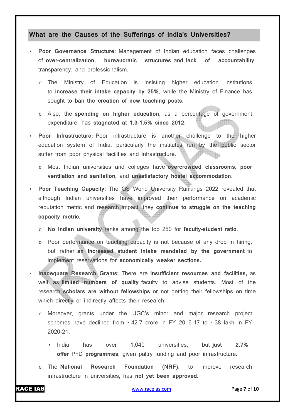## **What are the Causes of the Sufferings of India's Universities?**

- **Poor Governance Structure:** Management of Indian education faces challenges of **over-centralization, bureaucratic structures** and **lack of accountability**, transparency, and professionalism.
	- The Ministry of Education is insisting higher education institutions to **increase their intake capacity by 25%**, while the Ministry of Finance has sought to ban **the creation of new teaching posts.**
	- o Also, the **spending on higher education**, as a percentage of government expenditure, has **stagnated at 1.3-1.5% since 2012**.
- **Poor Infrastructure:** Poor infrastructure is another challenge to the higher education system of India, particularly the institutes run by the public sector suffer from poor physical facilities and infrastructure.
	- o Most Indian universities and colleges have **overcrowded classrooms, poor ventilation and sanitation,** and **unsatisfactory hostel accommodation**.
- **Poor Teaching Capacity:** The QS World University Rankings 2022 revealed that although Indian universities have improved their performance on academic reputation metric and research impact, they **continue to struggle on the teaching capacity metric.**
	- o **No Indian university** ranks among the top 250 for **faculty-student ratio**.
	- o Poor performance on teaching capacity is not because of any drop in hiring, but rather **an increased student intake mandated by the government** to implement reservations for **economically weaker sections.**
- **Inadequate Research Grants:** There are **insufficient resources and facilities,** as well as **limited numbers of quality** faculty to advise students. Most of the research **scholars are without fellowships** or not getting their fellowships on time which directly or indirectly affects their research.
	- o Moreover, grants under the UGC's minor and major research project schemes have declined from  $\cdot$  42.7 crore in FY 2016-17 to  $\cdot$  38 lakh in FY 2020-21.
		- India has over 1,040 universities, but **just 2.7% offer** PhD **programmes,** given paltry funding and poor infrastructure.
	- o The **National Research Foundation (NRF)**, to improve research infrastructure in universities, has **not yet been approved.**

RACE IAS www.raceias.com Page **7** of **10**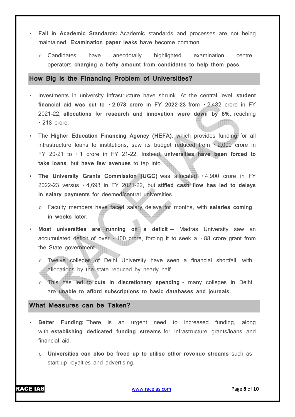- **Fall in Academic Standards:** Academic standards and processes are not being maintained. **Examination paper leaks** have become common.
	- o Candidates have anecdotally highlighted examination centre operators **charging a hefty amount from candidates to help them pass.**

## **How Big is the Financing Problem of Universities?**

- **Investments in university infrastructure have shrunk. At the central level, student financial aid was cut to**  $\cdot$  **2,078 crore in FY 2022-23 from**  $\cdot$  **2,482 crore in FY** 2021-22; **allocations for research and innovation were down by 8%,** reaching  $\cdot$  218 crore.
- The **Higher Education Financing Agency (HEFA)**, which provides funding for all infrastructure loans to institutions, saw its budget reduced from ±2,000 crore in FY 20-21 to  $\cdot$  1 crore in FY 21-22. Instead, universities have been forced to **take loans**, but **have few avenues** to tap into.
- **The University Grants Commission (UGC)** was allocated  $\cdot$  4,900 crore in FY 2022-23 versus ₹ 4,693 in FY 2021-22, but **stifled cash flow has led to delays in salary payments** for deemed/central universities.
	- o Faculty members have faced salary delays for months, with **salaries coming in weeks later.**
- **Most universities are running on a deficit** Madras University saw an accumulated deficit of over  $\cdot$  100 crore, forcing it to seek a  $\cdot$  88 crore grant from the State government.
	- o Twelve colleges of Delhi University have seen a financial shortfall, with allocations by the state reduced by nearly half.
	- This has led to cuts in discretionary spending many colleges in Delhi are **unable to afford subscriptions to basic databases and journals.**

## **What Measures can be Taken?**

- **Better Funding:** There is an urgent need to increased funding, along with **establishing dedicated funding streams** for infrastructure grants/loans and financial aid.
	- o **Universities can also be freed up to utilise other revenue streams** such as start-up royalties and advertising.

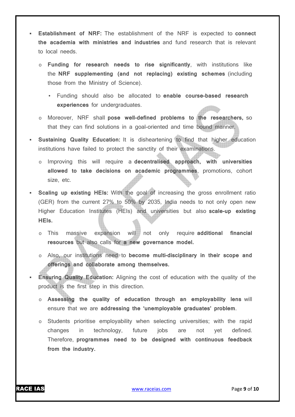- **Establishment of NRF:** The establishment of the NRF is expected to **connect the academia with ministries and industries** and fund research that is relevant to local needs.
	- o **Funding for research needs to rise significantly**, with institutions like the **NRF supplementing (and not replacing) existing schemes** (including those from the Ministry of Science).
		- Funding should also be allocated to **enable course-based research experiences** for undergraduates.
	- o Moreover, NRF shall **pose well-defined problems to the researchers,** so that they can find solutions in a goal-oriented and time bound manner.
- **Sustaining Quality Education:** It is disheartening to find that higher education institutions have failed to protect the sanctity of their examinations.
	- o Improving this will require a **decentralised approach, with universities allowed to take decisions on academic programmes**, promotions, cohort size, etc.
- **Scaling up existing HEIs:** With the goal of increasing the gross enrollment ratio (GER) from the current 27% to 50% by 2035, India needs to not only open new Higher Education Institutes (HEIs) and universities but also **scale-up existing HEIs.**
	- o This massive expansion will not only require **additional financial resources** but also calls for **a new governance model.**
	- o Also, our institutions need to **become multi-disciplinary in their scope and offerings and collaborate among themselves.**
- **Ensuring Quality Education:** Aligning the cost of education with the quality of the product is the first step in this direction.
	- o **Assessing the quality of education through an employability lens** will ensure that we are **addressing the 'unemployable graduates' problem**.
	- o Students prioritise employability when selecting universities; with the rapid changes in technology, future jobs are not yet defined. Therefore, **programmes need to be designed with continuous feedback from the industry.**